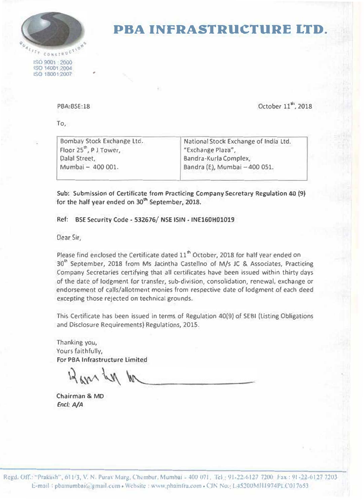

## **PBA INFRASTRUCTURE LTD.**

**ISO 9001 2000 JS0140012004**  ,so **180012007** 

**P8A:8SE:18** 

To,

Bombay Stock Exchange Ltd. **Floor 25**1h , **P** J **Tower,** Dalal Street, Mumbai - 400 001.

•

National Stock Exchange of India Ltd. **.. Exchange Plata",**  Bandra··Kurla Complex,

October 11<sup>1</sup>, 2018

Bandra (E), Mumbai - 400 051.

**Sub: Submission of Certificate from Practicing Company Secretary Regulation 40 (9)** for the half year ended on 30<sup>th</sup> September, 2018.

## Ref: BSE Security Code - 532676/ NSE ISIN - INE160H01019

Dear Sir,

Please find enclosed the Certificate dated 11<sup>th</sup> October, 2018 for half year ended on 30<sup>th</sup> September, 2018 from Ms Jacintha Castellno of M/s JC & Associates, Practicing Company Secretaries certifying that all certificates have been issued within thirty days of the date of lodgment for transfer, sub-division, consolidation, renewal, exchange or endorsement of calls/allotment monies from respective date of lodgment of each deed excepting those rejected on technical grounds.

This Certificate has been issued in terms of Regulation 40(9) of SEBI (Listing Obligations and Disclosure Requirements} Regulations, 2015.

Thanking you, Yours faithfully, For PBA Infrastructure Limited

12 apr Ly

Chairman & MO *Encl: A/A*